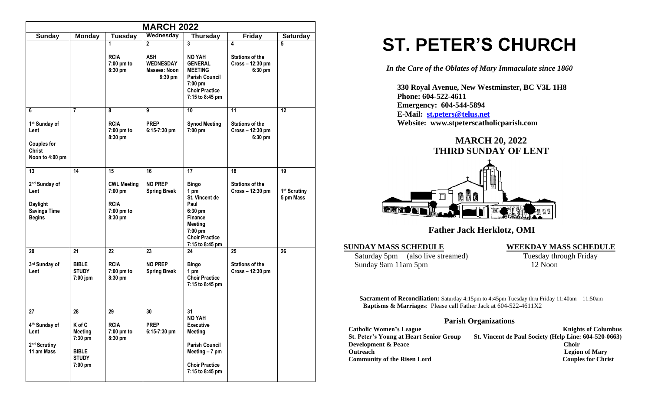|                                                                                                               |                                          |                                              | <b>MARCH 2022</b>                                                             |                                                                                                       |                                                            |                                       |  |  |
|---------------------------------------------------------------------------------------------------------------|------------------------------------------|----------------------------------------------|-------------------------------------------------------------------------------|-------------------------------------------------------------------------------------------------------|------------------------------------------------------------|---------------------------------------|--|--|
| <b>Sunday</b><br>Wednesday<br><b>Thursday</b><br><b>Friday</b><br><b>Monday</b><br>Tuesday<br><b>Saturday</b> |                                          |                                              |                                                                               |                                                                                                       |                                                            |                                       |  |  |
|                                                                                                               |                                          | 1<br><b>RCIA</b><br>$7:00$ pm to<br>8:30 pm  | $\overline{2}$<br><b>ASH</b><br><b>WEDNESDAY</b><br>Masses: Noon<br>$6:30$ pm | $\overline{3}$<br><b>NO YAH</b><br><b>GENERAL</b><br><b>MEETING</b><br><b>Parish Council</b>          | 4<br><b>Stations of the</b><br>Cross - 12:30 pm<br>6:30 pm | 5                                     |  |  |
|                                                                                                               |                                          |                                              |                                                                               | 7:00 pm<br><b>Choir Practice</b><br>7:15 to 8:45 pm                                                   |                                                            |                                       |  |  |
| 6                                                                                                             | $\overline{7}$                           | 8                                            | 9                                                                             | 10                                                                                                    | 11                                                         | 12                                    |  |  |
| 1 <sup>st</sup> Sunday of<br>Lent<br><b>Couples for</b><br><b>Christ</b><br>Noon to 4:00 pm                   |                                          | <b>RCIA</b><br>7:00 pm to<br>8:30 pm         | <b>PREP</b><br>$6:15-7:30$ pm                                                 | <b>Synod Meeting</b><br>7:00 pm                                                                       | <b>Stations of the</b><br>Cross - 12:30 pm<br>6:30 pm      |                                       |  |  |
| 13                                                                                                            | 14                                       | 15                                           | 16                                                                            | 17                                                                                                    | 18                                                         | 19                                    |  |  |
| 2 <sup>nd</sup> Sunday of<br>Lent                                                                             |                                          | <b>CWL Meeting</b><br>7:00 pm<br><b>RCIA</b> | <b>NO PREP</b><br><b>Spring Break</b>                                         | <b>Bingo</b><br>1 pm<br>St. Vincent de<br>Paul                                                        | <b>Stations of the</b><br>Cross - 12:30 pm                 | 1 <sup>st</sup> Scrutiny<br>5 pm Mass |  |  |
| <b>Daylight</b><br><b>Savings Time</b><br><b>Begins</b>                                                       |                                          | 7:00 pm to<br>8:30 pm                        |                                                                               | 6:30 pm<br>Finance<br><b>Meeting</b><br>$7:00 \text{ pm}$<br><b>Choir Practice</b><br>7:15 to 8:45 pm |                                                            |                                       |  |  |
| 20                                                                                                            | 21                                       | $\overline{22}$                              | 23                                                                            | 24                                                                                                    | 25                                                         | $\overline{26}$                       |  |  |
| 3rd Sunday of<br>Lent                                                                                         | <b>BIBLE</b><br><b>STUDY</b><br>7:00 jpm | <b>RCIA</b><br>7:00 pm to<br>8:30 pm         | <b>NO PREP</b><br><b>Spring Break</b>                                         | <b>Bingo</b><br>1 pm<br><b>Choir Practice</b><br>7:15 to 8:45 pm                                      | <b>Stations of the</b><br>Cross-12:30 pm                   |                                       |  |  |
| 27                                                                                                            | 28                                       | 29                                           | 30                                                                            | 31                                                                                                    |                                                            |                                       |  |  |
| 4th Sunday of<br>Lent                                                                                         | K of C<br><b>Meeting</b><br>7:30 pm      | <b>RCIA</b><br>7:00 pm to<br>8:30 pm         | <b>PREP</b><br>6:15-7:30 pm                                                   | <b>NO YAH</b><br><b>Executive</b><br><b>Meeting</b>                                                   |                                                            |                                       |  |  |
| 2 <sup>nd</sup> Scrutiny<br>11 am Mass                                                                        | <b>BIBLE</b><br><b>STUDY</b>             |                                              |                                                                               | <b>Parish Council</b><br>Meeting - 7 pm                                                               |                                                            |                                       |  |  |
|                                                                                                               | 7:00 pm                                  |                                              |                                                                               | <b>Choir Practice</b><br>7:15 to 8:45 pm                                                              |                                                            |                                       |  |  |

# **ST. PETER'S CHURCH**

*In the Care of the Oblates of Mary Immaculate since 1860*

 **330 Royal Avenue, New Westminster, BC V3L 1H8 Phone: 604-522-4611 Emergency: 604-544-5894 E-Mail: [st.peters@telus.net](mailto:st.peters@telus.net) Website: www.stpeterscatholicparish.com**

## **MARCH 20, 2022 THIRD SUNDAY OF LENT**



 **Father Jack Herklotz, OMI**

**SUNDAY MASS SCHEDULE**<br>
Saturday 5pm (also live streamed) **WEEKDAY MASS SCHEDULE**<br>
Tuesday through Friday Saturday 5pm (also live streamed) Sunday 9am 11am 5pm 12 Noon

**Sacrament of Reconciliation:** Saturday 4:15pm to 4:45pm Tuesday thru Friday 11:40am – 11:50am  **Baptisms & Marriages**: Please call Father Jack at 604-522-4611X2

#### **Parish Organizations**

| <b>Catholic Women's League</b>                 | <b>Knights of Columbus</b>                            |
|------------------------------------------------|-------------------------------------------------------|
| <b>St. Peter's Young at Heart Senior Group</b> | St. Vincent de Paul Society (Help Line: 604-520-0663) |
| <b>Development &amp; Peace</b>                 | <b>Choir</b>                                          |
| <b>Outreach</b>                                | <b>Legion of Mary</b>                                 |
| <b>Community of the Risen Lord</b>             | <b>Couples for Christ</b>                             |